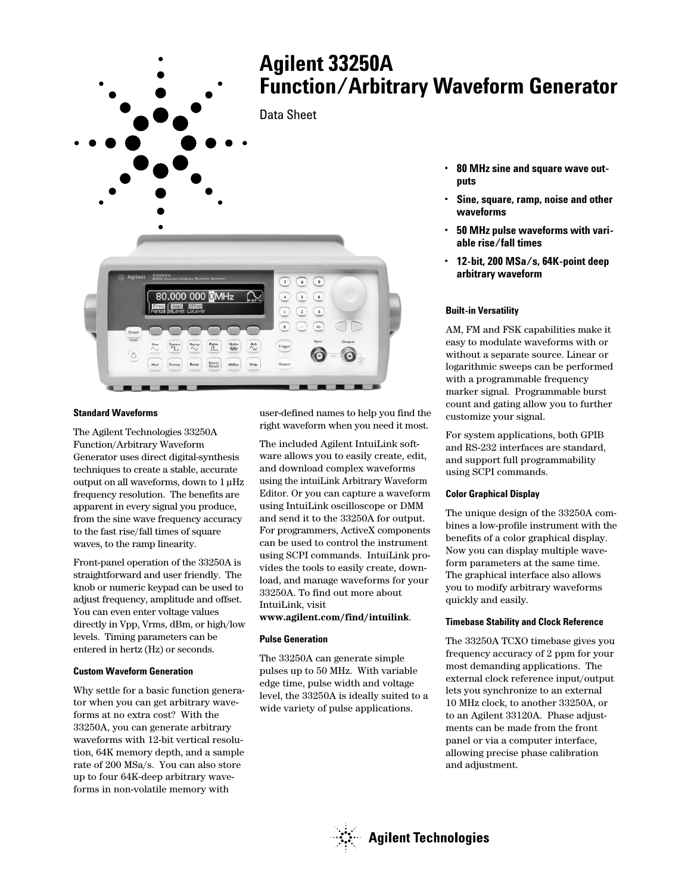

## **Standard Waveforms**

The Agilent Technologies 33250A Function/Arbitrary Waveform Generator uses direct digital-synthesis techniques to create a stable, accurate output on all waveforms, down to 1 µHz frequency resolution. The benefits are apparent in every signal you produce, from the sine wave frequency accuracy to the fast rise/fall times of square waves, to the ramp linearity.

Front-panel operation of the 33250A is straightforward and user friendly. The knob or numeric keypad can be used to adjust frequency, amplitude and offset. You can even enter voltage values directly in Vpp, Vrms, dBm, or high/low levels. Timing parameters can be entered in hertz (Hz) or seconds.

## **Custom Waveform Generation**

Why settle for a basic function generator when you can get arbitrary waveforms at no extra cost? With the 33250A, you can generate arbitrary waveforms with 12-bit vertical resolution, 64K memory depth, and a sample rate of 200 MSa/s. You can also store up to four 64K-deep arbitrary waveforms in non-volatile memory with

user-defined names to help you find the right waveform when you need it most.

The included Agilent IntuiLink software allows you to easily create, edit, and download complex waveforms using the intuiLink Arbitrary Waveform Editor. Or you can capture a waveform using IntuiLink oscilloscope or DMM and send it to the 33250A for output. For programmers, ActiveX components can be used to control the instrument using SCPI commands. IntuiLink provides the tools to easily create, download, and manage waveforms for your 33250A. To find out more about IntuiLink, visit

#### **www.agilent.com/find/intuilink**.

#### **Pulse Generation**

The 33250A can generate simple pulses up to 50 MHz. With variable edge time, pulse width and voltage level, the 33250A is ideally suited to a wide variety of pulse applications.

- 
- **Sine, square, ramp, noise and other**
- **50 MHz pulse waveforms with vari-**
- **12-bit, 200 MSa/s, 64K-point deep**

AM, FM and FSK capabilities make it easy to modulate waveforms with or without a separate source. Linear or logarithmic sweeps can be performed with a programmable frequency marker signal. Programmable burst count and gating allow you to further customize your signal.

For system applications, both GPIB and RS-232 interfaces are standard, and support full programmability using SCPI commands.

#### **Color Graphical Display**

The unique design of the 33250A combines a low-profile instrument with the benefits of a color graphical display. Now you can display multiple waveform parameters at the same time. The graphical interface also allows you to modify arbitrary waveforms quickly and easily.

#### **Timebase Stability and Clock Reference**

The 33250A TCXO timebase gives you frequency accuracy of 2 ppm for your most demanding applications. The external clock reference input/output lets you synchronize to an external 10 MHz clock, to another 33250A, or to an Agilent 33120A. Phase adjustments can be made from the front panel or via a computer interface, allowing precise phase calibration and adjustment.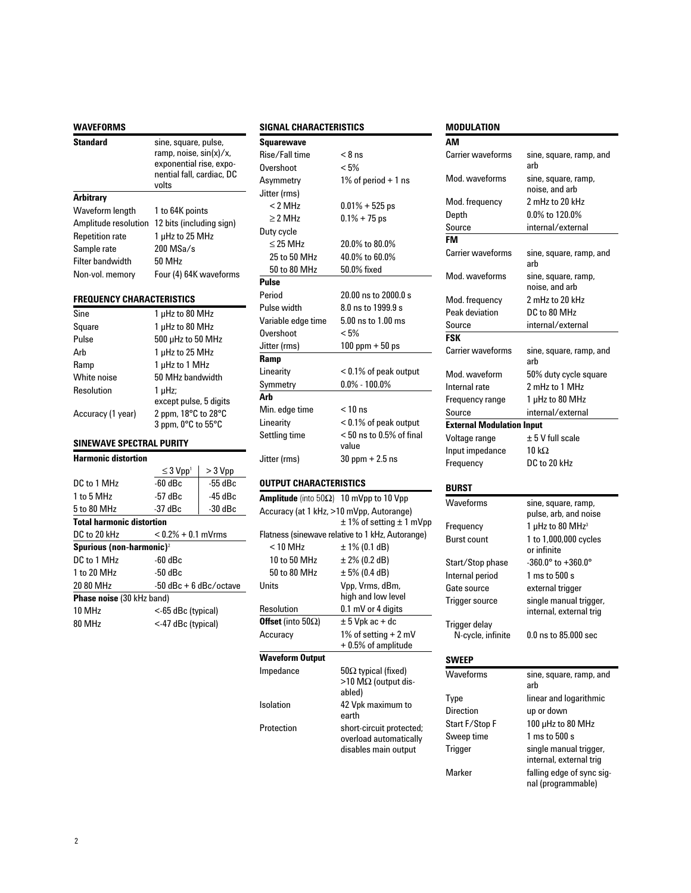| <b>WAVEFORMS</b>                     |                                                                                                                 |           |
|--------------------------------------|-----------------------------------------------------------------------------------------------------------------|-----------|
| <b>Standard</b>                      | sine, square, pulse,<br>ramp, noise, sin(x)/x,<br>exponential rise, expo-<br>nential fall, cardiac, DC<br>volts |           |
| Arbitrary                            |                                                                                                                 |           |
| Waveform length                      | 1 to 64K points                                                                                                 |           |
| Amplitude resolution                 | 12 bits (including sign)                                                                                        |           |
| <b>Repetition rate</b>               | 1 µHz to 25 MHz                                                                                                 |           |
| Sample rate                          | $200$ MSa/s                                                                                                     |           |
| <b>Filter bandwidth</b>              | 50 MHz                                                                                                          |           |
| Non-vol. memory                      | Four (4) 64K waveforms                                                                                          |           |
| FREQUENCY CHARACTERISTICS            |                                                                                                                 |           |
| Sine                                 | 1 µHz to 80 MHz                                                                                                 |           |
| Square                               | 1 µHz to 80 MHz                                                                                                 |           |
| Pulse                                | 500 µHz to 50 MHz                                                                                               |           |
| Arb                                  | 1 µHz to 25 MHz                                                                                                 |           |
| Ramp                                 | 1 µHz to 1 MHz                                                                                                  |           |
| White noise                          | 50 MHz bandwidth                                                                                                |           |
| Resolution                           | 1 µHz;                                                                                                          |           |
| Accuracy (1 year)                    | except pulse, 5 digits<br>2 ppm, 18°C to 28°C<br>3 ppm, 0°C to 55°C                                             |           |
| SINEWAVE SPECTRAL PURITY             |                                                                                                                 |           |
| <b>Harmonic distortion</b>           |                                                                                                                 |           |
|                                      | $\leq$ 3 $Vpp$ <sup>1</sup>                                                                                     | > 3 Vpp   |
| DC to 1 MHz                          | $-60$ dBc                                                                                                       | $-55$ dBc |
| 1 to 5 MHz                           | $-57$ dBc                                                                                                       | $-45$ dBc |
| 5 to 80 MHz                          | $-37dBc$                                                                                                        | $-30dBc$  |
| <b>Total harmonic distortion</b>     |                                                                                                                 |           |
| DC to 20 kHz                         | $< 0.2% + 0.1$ mVrms                                                                                            |           |
| Spurious (non-harmonic) <sup>2</sup> |                                                                                                                 |           |
| DC to 1 MHz                          | $-60$ dBc                                                                                                       |           |
| 1 to 20 MHz                          | $-50$ dBc                                                                                                       |           |
| 20 80 MHz                            | $-50$ dBc + 6 dBc/octave                                                                                        |           |
| Phase noise (30 kHz band)            |                                                                                                                 |           |
| 10 MHz                               | <-65 dBc (typical)                                                                                              |           |

80 MHz <-47 dBc (typical)

#### **SIGNAL CHARACTERISTICS**

| <b>Squarewave</b>     |                            |
|-----------------------|----------------------------|
| Rise/Fall time        | $< 8$ ns                   |
| <b>Overshoot</b>      | < 5%                       |
| Asymmetry             | 1% of period $+$ 1 ns      |
| Jitter (rms)          |                            |
| $<$ 2 MH <sub>7</sub> | $0.01\% + 525$ ps          |
| $> 2$ MHz             | $0.1\% + 75$ ps            |
| Duty cycle            |                            |
| $\leq$ 25 MHz         | 20.0% to 80.0%             |
| 25 to 50 MHz          | 40.0% to 60.0%             |
| 50 to 80 MHz          | 50.0% fixed                |
| Pulse                 |                            |
| Period                | 20.00 ns to 2000.0 s       |
| Pulse width           | 8.0 ns to 1999.9 s         |
| Variable edge time    | 5.00 ns to 1.00 ms         |
| Overshoot             | $< 5\%$                    |
| Jitter (rms)          | $100$ ppm $+50$ ps         |
| Ramp                  |                            |
| Linearity             | $<$ 0.1% of peak output    |
| Symmetry              | $0.0\%$ - 100.0%           |
| Arb                   |                            |
| Min. edge time        | $< 10$ ns                  |
| Linearity             | $< 0.1\%$ of peak output   |
| Settling time         | $< 50$ ns to 0.5% of final |
|                       | value                      |
| Jitter (rms)          | $30$ ppm $+2.5$ ns         |

# **OUTPUT CHARACTERISTICS**

| <b>Amplitude</b> (into $50\Omega$ ) 10 mVpp to 10 Vpp |                                                                            |
|-------------------------------------------------------|----------------------------------------------------------------------------|
| Accuracy (at 1 kHz, >10 mVpp, Autorange)              |                                                                            |
|                                                       | $\pm$ 1% of setting $\pm$ 1 mVpp                                           |
|                                                       | Flatness (sinewave relative to 1 kHz, Autorange)                           |
| $<$ 10 MHz                                            | ± 1% (0.1 dB)                                                              |
| 10 to 50 MHz                                          | ± 2% (0.2 dB)                                                              |
| 50 to 80 MHz                                          | $\pm$ 5% (0.4 dB)                                                          |
| Units                                                 | Vpp, Vrms, dBm,<br>high and low level                                      |
| Resolution                                            | 0.1 mV or 4 digits                                                         |
| <b>Offset</b> (into 50 $\Omega$ )                     | $\pm$ 5 Vpk ac + dc                                                        |
| Accuracy                                              | 1% of setting $+ 2$ mV                                                     |
|                                                       | $+0.5\%$ of amplitude                                                      |
| Waveform Output                                       |                                                                            |
| Impedance                                             | 50 $\Omega$ typical (fixed)                                                |
|                                                       | $>10$ M $\Omega$ (output dis-<br>abled)                                    |
| Isolation                                             | 42 Vpk maximum to                                                          |
|                                                       | earth                                                                      |
| Protection                                            | short-circuit protected;<br>overload automatically<br>disables main output |
|                                                       |                                                                            |

# **MODULATION**

| טוי                              |                                                   |
|----------------------------------|---------------------------------------------------|
| АM                               |                                                   |
| <b>Carrier waveforms</b>         | sine, square, ramp, and<br>arb                    |
| Mod. waveforms                   | sine, square, ramp,<br>noise, and arb             |
| Mod. frequency                   | 2 mHz to 20 kHz                                   |
| Depth                            | 0.0% to 120.0%                                    |
| Source                           | internal/external                                 |
| <b>FM</b>                        |                                                   |
| <b>Carrier waveforms</b>         | sine, square, ramp, and<br>arh                    |
| Mod. waveforms                   | sine, square, ramp,<br>noise, and arb             |
| Mod. frequency                   | 2 mHz to 20 kHz                                   |
| Peak deviation                   | DC to 80 MHz                                      |
| Source                           | internal/external                                 |
| <b>FSK</b>                       |                                                   |
| <b>Carrier waveforms</b>         | sine, square, ramp, and<br>arb                    |
| Mod. waveform                    | 50% duty cycle square                             |
| Internal rate                    | 2 mHz to 1 MHz                                    |
| Frequency range                  | 1 µHz to 80 MHz                                   |
| Source                           | internal/external                                 |
| <b>External Modulation Input</b> |                                                   |
| Voltage range                    | $\pm$ 5 V full scale                              |
| Input impedance                  | 10 k $\Omega$                                     |
| Frequency                        | DC to 20 kHz                                      |
|                                  |                                                   |
| BURST                            |                                                   |
| Waveforms                        | sine, square, ramp,                               |
|                                  | pulse, arb, and noise                             |
| Frequency                        | 1 µHz to 80 MHz <sup>3</sup>                      |
| Burst count                      | 1 to 1,000,000 cycles                             |
|                                  | or infinite                                       |
| Start/Stop phase                 | $-360.0^{\circ}$ to $+360.0^{\circ}$              |
| Internal period                  | $1 \text{ ms}$ to $500 \text{ s}$                 |
| Gate source                      | external trigger                                  |
| <b>Trigger source</b>            | single manual trigger,                            |
|                                  | internal, external trig                           |
| Trigger delay                    |                                                   |
| N-cycle, infinite                | 0.0 ns to 85.000 sec                              |
| <b>SWEEP</b>                     |                                                   |
| Waveforms                        | sine, square, ramp, and<br>arh                    |
| Type                             | linear and logarithmic                            |
| Direction                        | up or down                                        |
| Start F/Stop F                   | 100 µHz to 80 MHz                                 |
| Sweep time                       | 1 ms to 500 s                                     |
| Trigger                          | single manual trigger,<br>internal, external trig |
| Marker                           | falling edge of sync sig-<br>nal (programmable)   |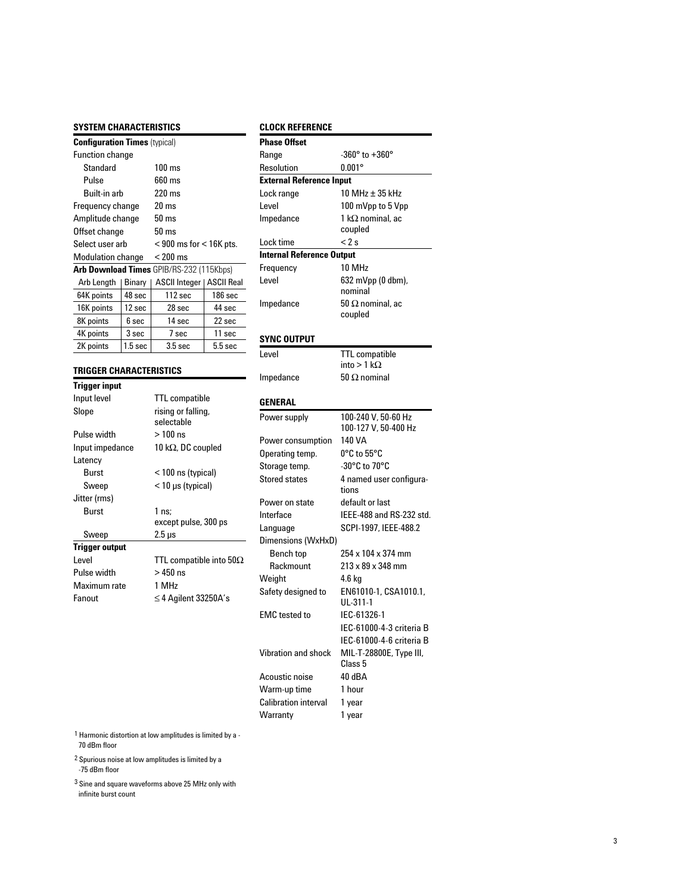# **SYSTEM CHARACTERISTICS**

| <b>Configuration Times (typical)</b>     |                    |                             |           |
|------------------------------------------|--------------------|-----------------------------|-----------|
| <b>Function change</b>                   |                    |                             |           |
| Standard                                 |                    | $100 \text{ ms}$            |           |
| Pulse                                    |                    | 660 ms                      |           |
| Built-in arb                             |                    | $220 \text{ ms}$            |           |
| Frequency change                         |                    | $20 \text{ ms}$             |           |
| Amplitude change                         |                    | 50 ms                       |           |
| Offset change                            |                    | 50 ms                       |           |
| Select user arb                          |                    | $<$ 900 ms for $<$ 16K pts. |           |
| <b>Modulation change</b>                 |                    | $< 200 \text{ ms}$          |           |
| Arb Download Times GPIB/RS-232 (115Kbps) |                    |                             |           |
| Arb Length                               | Binary             | ASCII Integer   ASCII Real  |           |
| 64K points                               | 48 sec             | $112 \text{ sec}$           | $186$ sec |
| 16K points                               | 12 sec             | 28 sec                      | 44 sec    |
| 8K points                                | 6 sec              | 14 sec                      | $22$ sec  |
| 4K points                                | 3 sec              | 7 sec                       | 11 sec    |
| 2K points                                | 1.5 <sub>sec</sub> | 3.5 <sub>sec</sub>          | $5.5$ sec |

#### **TRIGGER CHARACTERISTICS**

| <b>Trigger input</b> |                                 |
|----------------------|---------------------------------|
| Input level          | <b>TTL</b> compatible           |
| Slope                | rising or falling,              |
|                      | selectable                      |
| Pulse width          | $>100$ ns                       |
| Input impedance      | 10 k $\Omega$ , DC coupled      |
| Latency              |                                 |
| Burst                | < 100 ns (typical)              |
| Sweep                | $<$ 10 µs (typical)             |
| Jitter (rms)         |                                 |
| Burst                | 1 ns:                           |
|                      | except pulse, 300 ps            |
| Sweep                | $2.5 \,\mu s$                   |
| Trigger output       |                                 |
| l evel               | TTL compatible into 50 $\Omega$ |
| Pulse width          | > 450 ns                        |
| Maximum rate         | 1 MHz                           |
| Fanout               | $\leq$ 4 Agilent 33250A's       |
|                      |                                 |

# **CLOCK REFERENCE**

| <b>Phase Offset</b>              |                                             |  |
|----------------------------------|---------------------------------------------|--|
| Range                            | $-360^\circ$ to $+360^\circ$                |  |
| Resolution                       | $0.001^\circ$                               |  |
| <b>External Reference Input</b>  |                                             |  |
| Lock range                       | 10 MHz ± 35 kHz                             |  |
| Level                            | 100 mVpp to 5 Vpp                           |  |
| Impedance                        | 1 k $\Omega$ nominal, ac                    |  |
|                                  | coupled                                     |  |
| Lock time                        | < 2 s                                       |  |
| <b>Internal Reference Output</b> |                                             |  |
| Frequency                        | 10 MHz                                      |  |
| Level                            | 632 mVpp (0 dbm),                           |  |
|                                  | nominal                                     |  |
| Impedance                        | 50 $\Omega$ nominal, ac<br>coupled          |  |
|                                  |                                             |  |
| SYNC OUTPUT                      |                                             |  |
| Level                            | <b>TTL</b> compatible                       |  |
|                                  | into > 1 k $\Omega$                         |  |
| Impedance                        | 50 $\Omega$ nominal                         |  |
|                                  |                                             |  |
| GENERAL                          |                                             |  |
| Power supply                     | 100-240 V, 50-60 Hz<br>100-127 V, 50-400 Hz |  |
| Power consumption                | 140 VA                                      |  |
| Operating temp.                  | 0°C to 55°C                                 |  |
| Storage temp.                    | -30°C to 70°C                               |  |
| <b>Stored states</b>             | 4 named user configura-<br>tions            |  |
| Power on state                   | default or last                             |  |
| Interface                        | IEEE-488 and RS-232 std.                    |  |
| Language                         | SCPI-1997, IEEE-488.2                       |  |
| Dimensions (WxHxD)               |                                             |  |
| Bench top                        | 254 x 104 x 374 mm                          |  |
| Rackmount                        | 213 x 89 x 348 mm                           |  |
| Weight                           | 4.6 kg                                      |  |
| Safety designed to               | EN61010-1, CSA1010.1,<br>UL-311-1           |  |
| <b>EMC</b> tested to             | IEC-61326-1                                 |  |
|                                  | IEC-61000-4-3 criteria B                    |  |
|                                  | IEC-61000-4-6 criteria B                    |  |
| <b>Vibration and shock</b>       | MIL-T-28800E, Type III,<br>Class 5          |  |
| Acoustic noise                   | 40 dBA                                      |  |
| Warm-up time                     | 1 hour                                      |  |
| <b>Calibration interval</b>      | 1 year                                      |  |
| Warranty                         | 1 year                                      |  |

 $^1$  Harmonic distortion at low amplitudes is limited by a -

 $2$  Spurious noise at low amplitudes is limited by a -75 dBm floor

 $3$  Sine and square waveforms above 25 MHz only with infinite burst count

<sup>70</sup> dBm floor